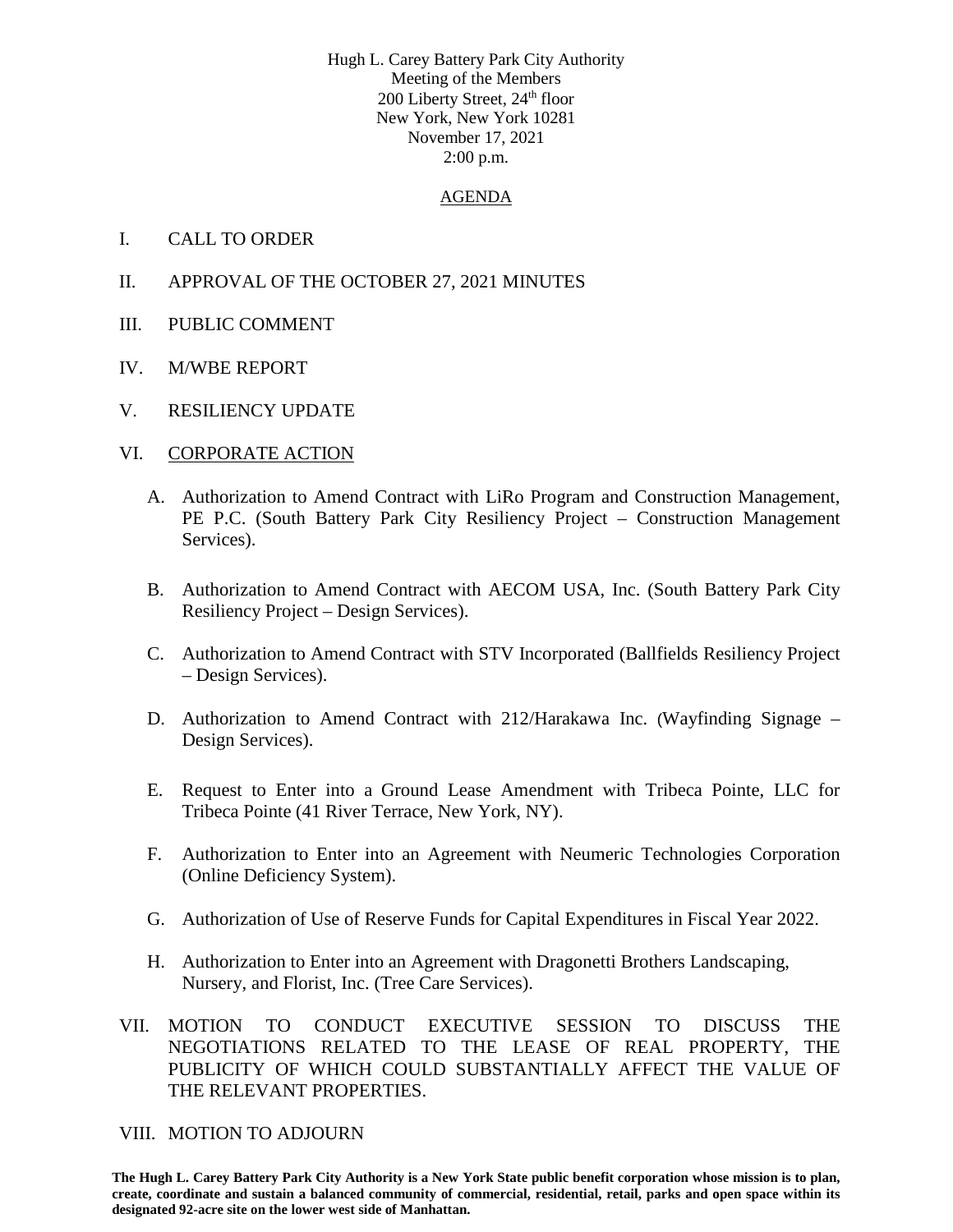Hugh L. Carey Battery Park City Authority Meeting of the Members 200 Liberty Street, 24<sup>th</sup> floor New York, New York 10281 November 17, 2021 2:00 p.m.

#### AGENDA

- I. CALL TO ORDER
- II. APPROVAL OF THE OCTOBER 27, 2021 MINUTES
- III. PUBLIC COMMENT
- IV. M/WBE REPORT
- V. RESILIENCY UPDATE

#### VI. CORPORATE ACTION

- A. Authorization to Amend Contract with LiRo Program and Construction Management, PE P.C. (South Battery Park City Resiliency Project – Construction Management Services).
- B. Authorization to Amend Contract with AECOM USA, Inc. (South Battery Park City Resiliency Project – Design Services).
- C. Authorization to Amend Contract with STV Incorporated (Ballfields Resiliency Project – Design Services).
- D. Authorization to Amend Contract with 212/Harakawa Inc. (Wayfinding Signage Design Services).
- E. Request to Enter into a Ground Lease Amendment with Tribeca Pointe, LLC for Tribeca Pointe (41 River Terrace, New York, NY).
- F. Authorization to Enter into an Agreement with Neumeric Technologies Corporation (Online Deficiency System).
- G. Authorization of Use of Reserve Funds for Capital Expenditures in Fiscal Year 2022.
- H. Authorization to Enter into an Agreement with Dragonetti Brothers Landscaping, Nursery, and Florist, Inc. (Tree Care Services).
- VII. MOTION TO CONDUCT EXECUTIVE SESSION TO DISCUSS THE NEGOTIATIONS RELATED TO THE LEASE OF REAL PROPERTY, THE PUBLICITY OF WHICH COULD SUBSTANTIALLY AFFECT THE VALUE OF THE RELEVANT PROPERTIES.

VIII. MOTION TO ADJOURN

**The Hugh L. Carey Battery Park City Authority is a New York State public benefit corporation whose mission is to plan, create, coordinate and sustain a balanced community of commercial, residential, retail, parks and open space within its designated 92-acre site on the lower west side of Manhattan.**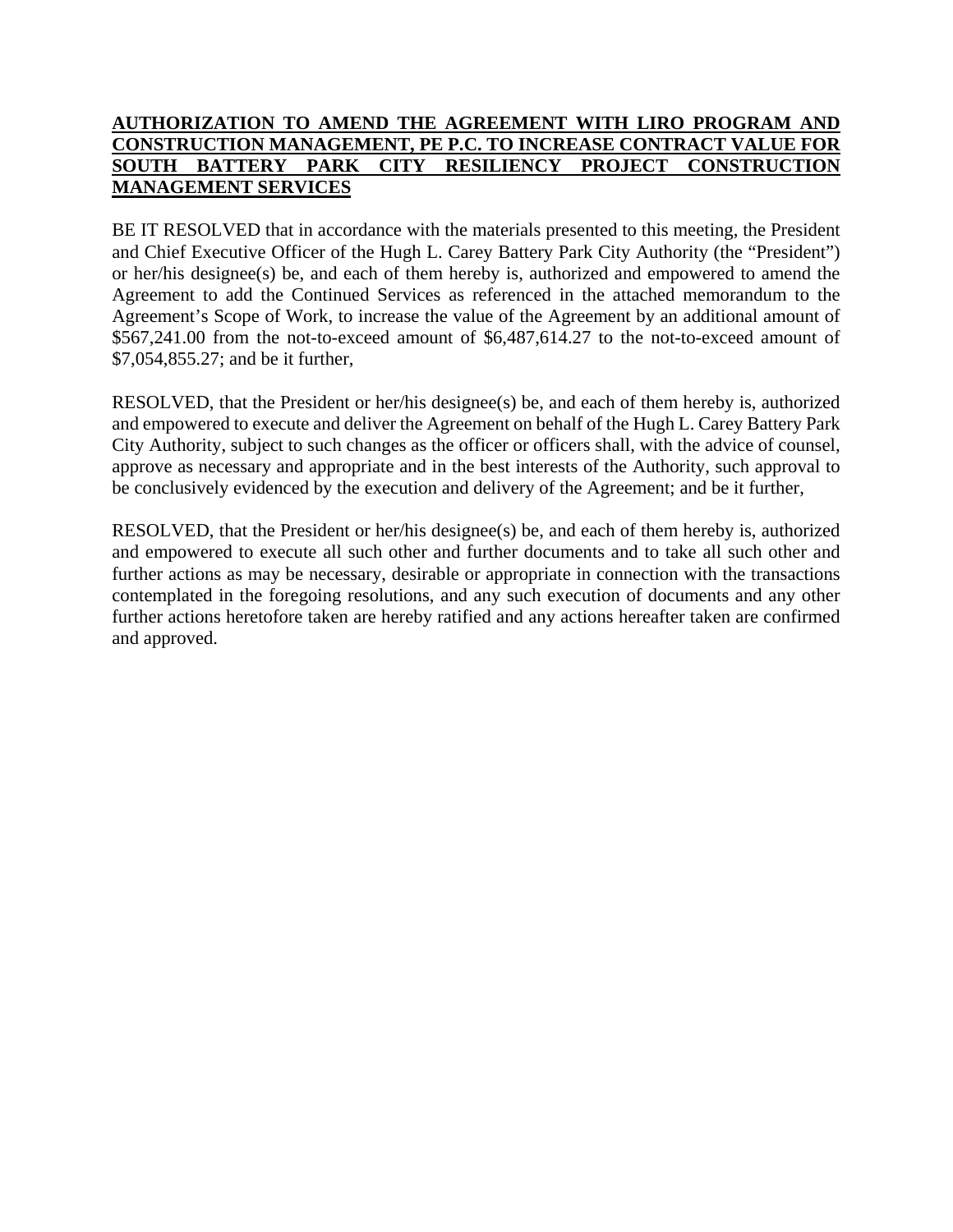#### **AUTHORIZATION TO AMEND THE AGREEMENT WITH LIRO PROGRAM AND CONSTRUCTION MANAGEMENT, PE P.C. TO INCREASE CONTRACT VALUE FOR SOUTH BATTERY PARK CITY RESILIENCY PROJECT CONSTRUCTION MANAGEMENT SERVICES**

BE IT RESOLVED that in accordance with the materials presented to this meeting, the President and Chief Executive Officer of the Hugh L. Carey Battery Park City Authority (the "President") or her/his designee(s) be, and each of them hereby is, authorized and empowered to amend the Agreement to add the Continued Services as referenced in the attached memorandum to the Agreement's Scope of Work, to increase the value of the Agreement by an additional amount of \$567,241.00 from the not-to-exceed amount of \$6,487,614.27 to the not-to-exceed amount of \$7,054,855.27; and be it further,

RESOLVED, that the President or her/his designee(s) be, and each of them hereby is, authorized and empowered to execute and deliver the Agreement on behalf of the Hugh L. Carey Battery Park City Authority, subject to such changes as the officer or officers shall, with the advice of counsel, approve as necessary and appropriate and in the best interests of the Authority, such approval to be conclusively evidenced by the execution and delivery of the Agreement; and be it further,

RESOLVED, that the President or her/his designee(s) be, and each of them hereby is, authorized and empowered to execute all such other and further documents and to take all such other and further actions as may be necessary, desirable or appropriate in connection with the transactions contemplated in the foregoing resolutions, and any such execution of documents and any other further actions heretofore taken are hereby ratified and any actions hereafter taken are confirmed and approved.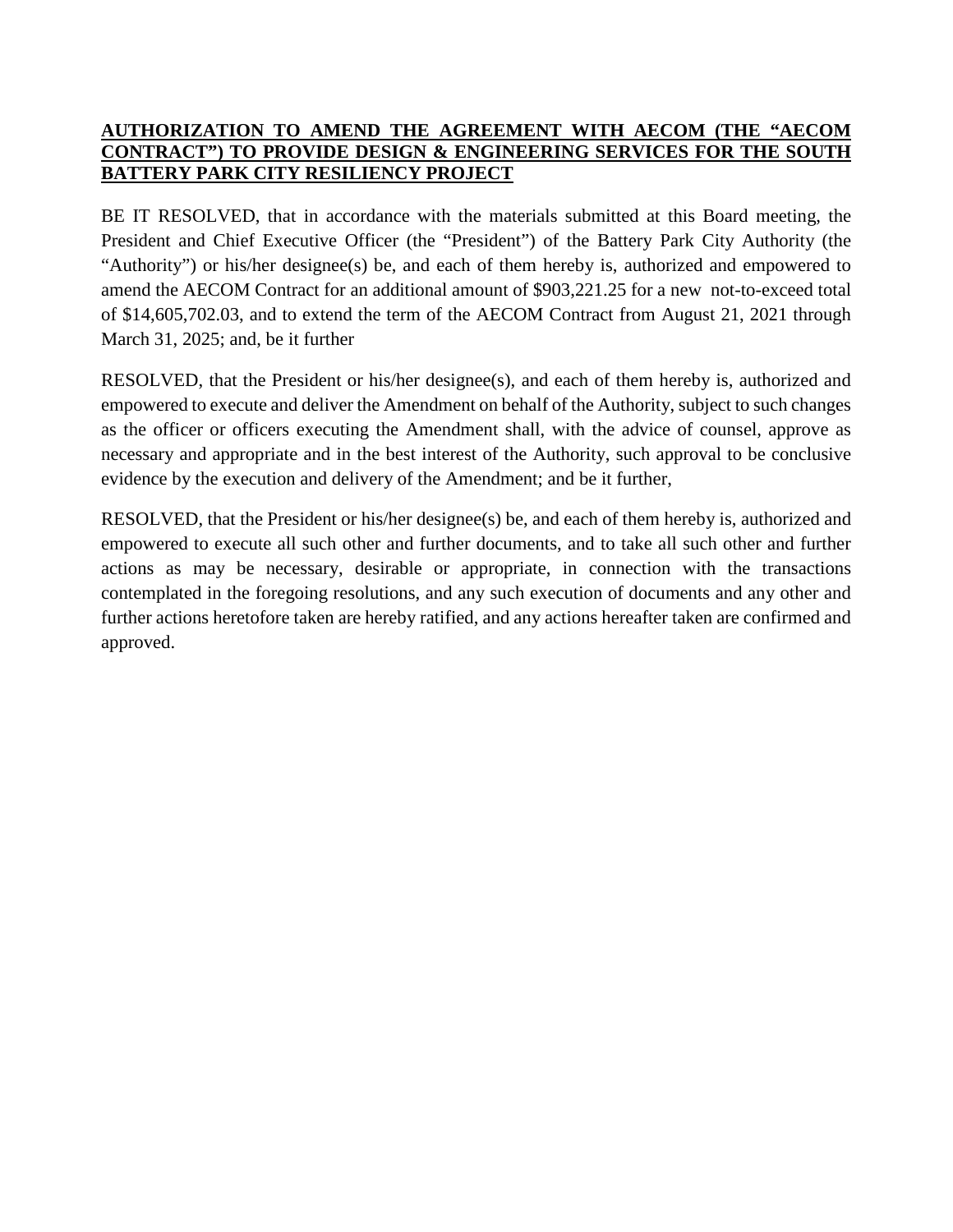### **AUTHORIZATION TO AMEND THE AGREEMENT WITH AECOM (THE "AECOM CONTRACT") TO PROVIDE DESIGN & ENGINEERING SERVICES FOR THE SOUTH BATTERY PARK CITY RESILIENCY PROJECT**

BE IT RESOLVED, that in accordance with the materials submitted at this Board meeting, the President and Chief Executive Officer (the "President") of the Battery Park City Authority (the "Authority") or his/her designee(s) be, and each of them hereby is, authorized and empowered to amend the AECOM Contract for an additional amount of \$903,221.25 for a new not-to-exceed total of \$14,605,702.03, and to extend the term of the AECOM Contract from August 21, 2021 through March 31, 2025; and, be it further

RESOLVED, that the President or his/her designee(s), and each of them hereby is, authorized and empowered to execute and deliver the Amendment on behalf of the Authority, subject to such changes as the officer or officers executing the Amendment shall, with the advice of counsel, approve as necessary and appropriate and in the best interest of the Authority, such approval to be conclusive evidence by the execution and delivery of the Amendment; and be it further,

RESOLVED, that the President or his/her designee(s) be, and each of them hereby is, authorized and empowered to execute all such other and further documents, and to take all such other and further actions as may be necessary, desirable or appropriate, in connection with the transactions contemplated in the foregoing resolutions, and any such execution of documents and any other and further actions heretofore taken are hereby ratified, and any actions hereafter taken are confirmed and approved.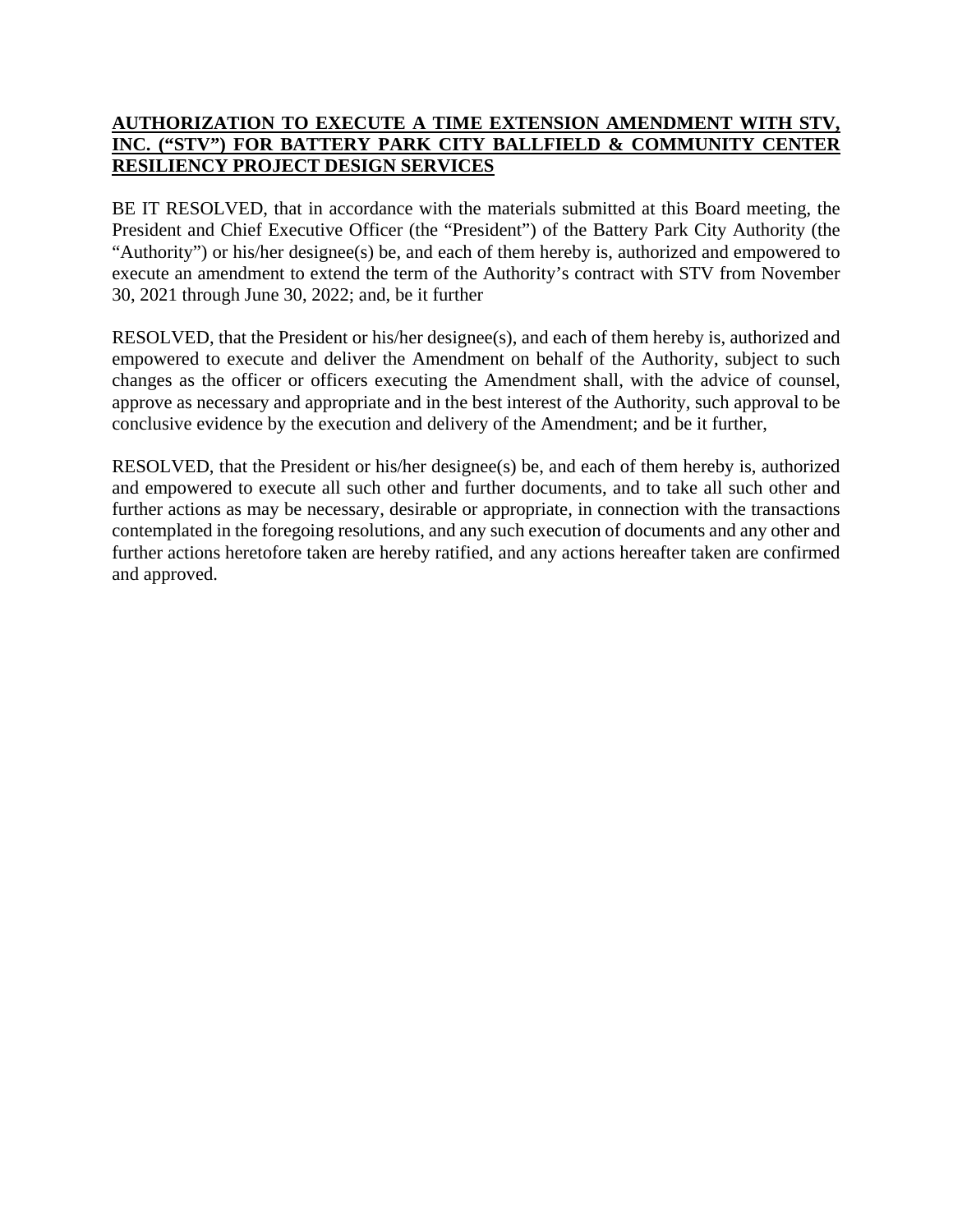## **AUTHORIZATION TO EXECUTE A TIME EXTENSION AMENDMENT WITH STV, INC. ("STV") FOR BATTERY PARK CITY BALLFIELD & COMMUNITY CENTER RESILIENCY PROJECT DESIGN SERVICES**

BE IT RESOLVED, that in accordance with the materials submitted at this Board meeting, the President and Chief Executive Officer (the "President") of the Battery Park City Authority (the "Authority") or his/her designee(s) be, and each of them hereby is, authorized and empowered to execute an amendment to extend the term of the Authority's contract with STV from November 30, 2021 through June 30, 2022; and, be it further

RESOLVED, that the President or his/her designee(s), and each of them hereby is, authorized and empowered to execute and deliver the Amendment on behalf of the Authority, subject to such changes as the officer or officers executing the Amendment shall, with the advice of counsel, approve as necessary and appropriate and in the best interest of the Authority, such approval to be conclusive evidence by the execution and delivery of the Amendment; and be it further,

RESOLVED, that the President or his/her designee(s) be, and each of them hereby is, authorized and empowered to execute all such other and further documents, and to take all such other and further actions as may be necessary, desirable or appropriate, in connection with the transactions contemplated in the foregoing resolutions, and any such execution of documents and any other and further actions heretofore taken are hereby ratified, and any actions hereafter taken are confirmed and approved.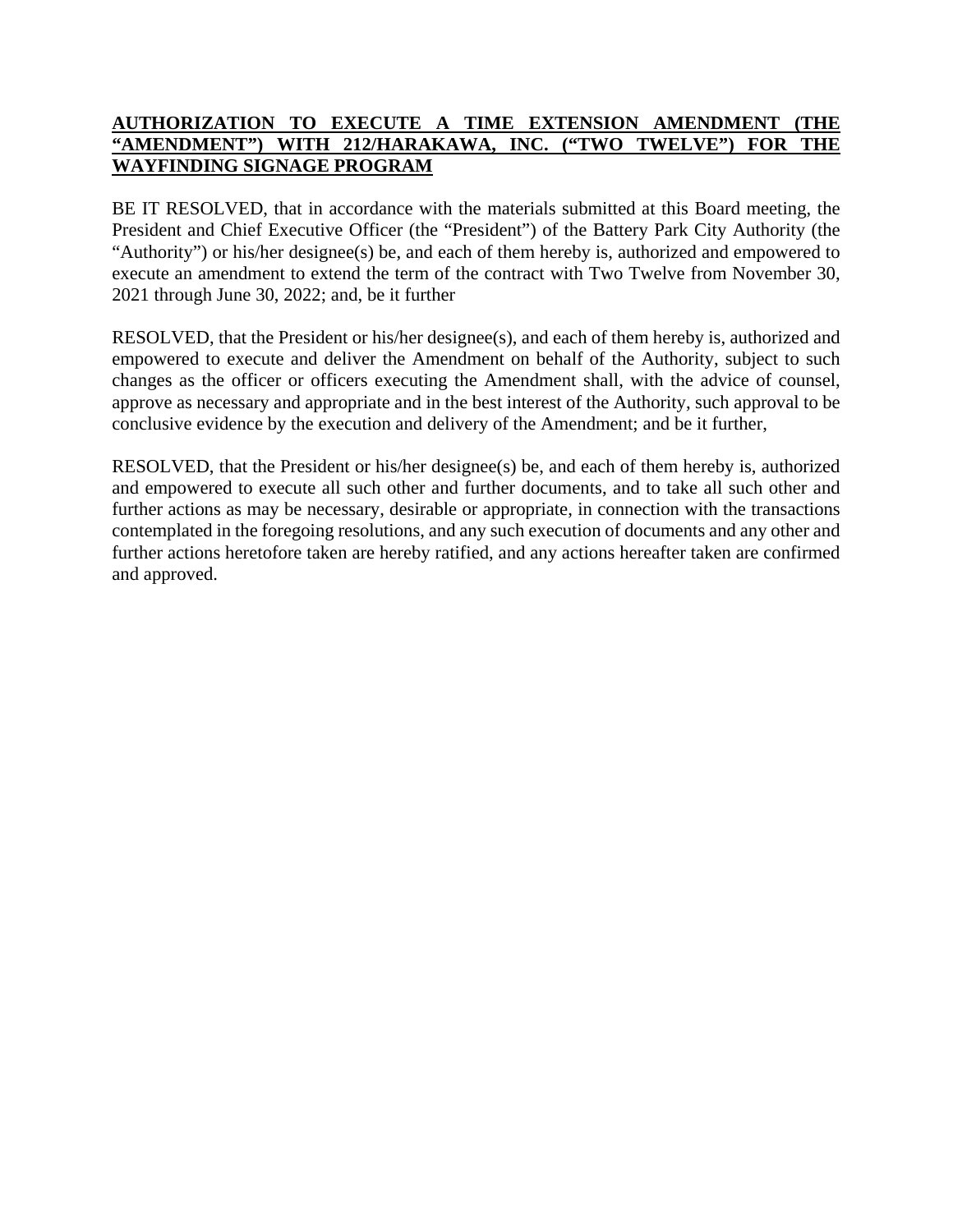## **AUTHORIZATION TO EXECUTE A TIME EXTENSION AMENDMENT (THE "AMENDMENT") WITH 212/HARAKAWA, INC. ("TWO TWELVE") FOR THE WAYFINDING SIGNAGE PROGRAM**

BE IT RESOLVED, that in accordance with the materials submitted at this Board meeting, the President and Chief Executive Officer (the "President") of the Battery Park City Authority (the "Authority") or his/her designee(s) be, and each of them hereby is, authorized and empowered to execute an amendment to extend the term of the contract with Two Twelve from November 30, 2021 through June 30, 2022; and, be it further

RESOLVED, that the President or his/her designee(s), and each of them hereby is, authorized and empowered to execute and deliver the Amendment on behalf of the Authority, subject to such changes as the officer or officers executing the Amendment shall, with the advice of counsel, approve as necessary and appropriate and in the best interest of the Authority, such approval to be conclusive evidence by the execution and delivery of the Amendment; and be it further,

RESOLVED, that the President or his/her designee(s) be, and each of them hereby is, authorized and empowered to execute all such other and further documents, and to take all such other and further actions as may be necessary, desirable or appropriate, in connection with the transactions contemplated in the foregoing resolutions, and any such execution of documents and any other and further actions heretofore taken are hereby ratified, and any actions hereafter taken are confirmed and approved.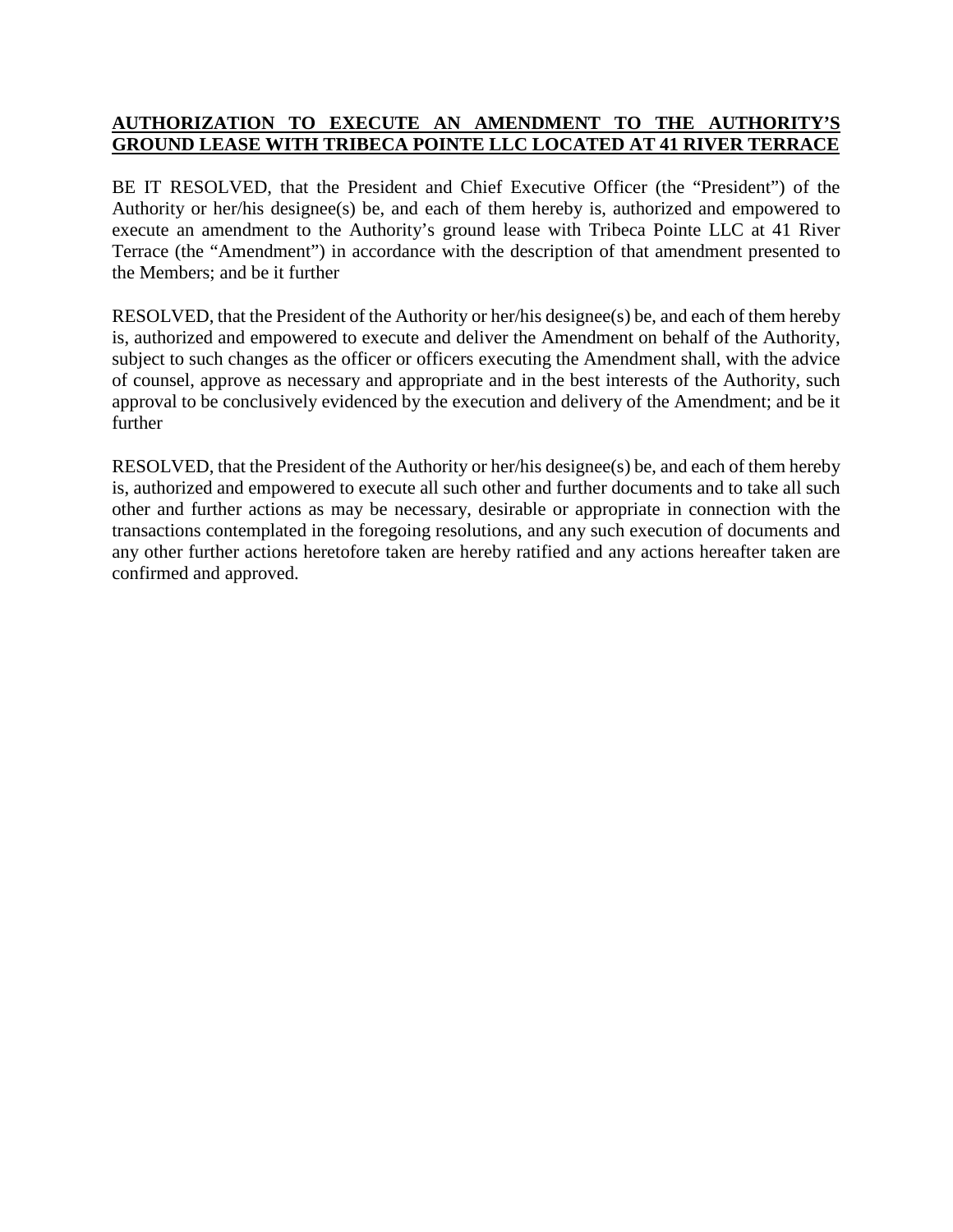## **AUTHORIZATION TO EXECUTE AN AMENDMENT TO THE AUTHORITY'S GROUND LEASE WITH TRIBECA POINTE LLC LOCATED AT 41 RIVER TERRACE**

BE IT RESOLVED, that the President and Chief Executive Officer (the "President") of the Authority or her/his designee(s) be, and each of them hereby is, authorized and empowered to execute an amendment to the Authority's ground lease with Tribeca Pointe LLC at 41 River Terrace (the "Amendment") in accordance with the description of that amendment presented to the Members; and be it further

RESOLVED, that the President of the Authority or her/his designee(s) be, and each of them hereby is, authorized and empowered to execute and deliver the Amendment on behalf of the Authority, subject to such changes as the officer or officers executing the Amendment shall, with the advice of counsel, approve as necessary and appropriate and in the best interests of the Authority, such approval to be conclusively evidenced by the execution and delivery of the Amendment; and be it further

RESOLVED, that the President of the Authority or her/his designee(s) be, and each of them hereby is, authorized and empowered to execute all such other and further documents and to take all such other and further actions as may be necessary, desirable or appropriate in connection with the transactions contemplated in the foregoing resolutions, and any such execution of documents and any other further actions heretofore taken are hereby ratified and any actions hereafter taken are confirmed and approved.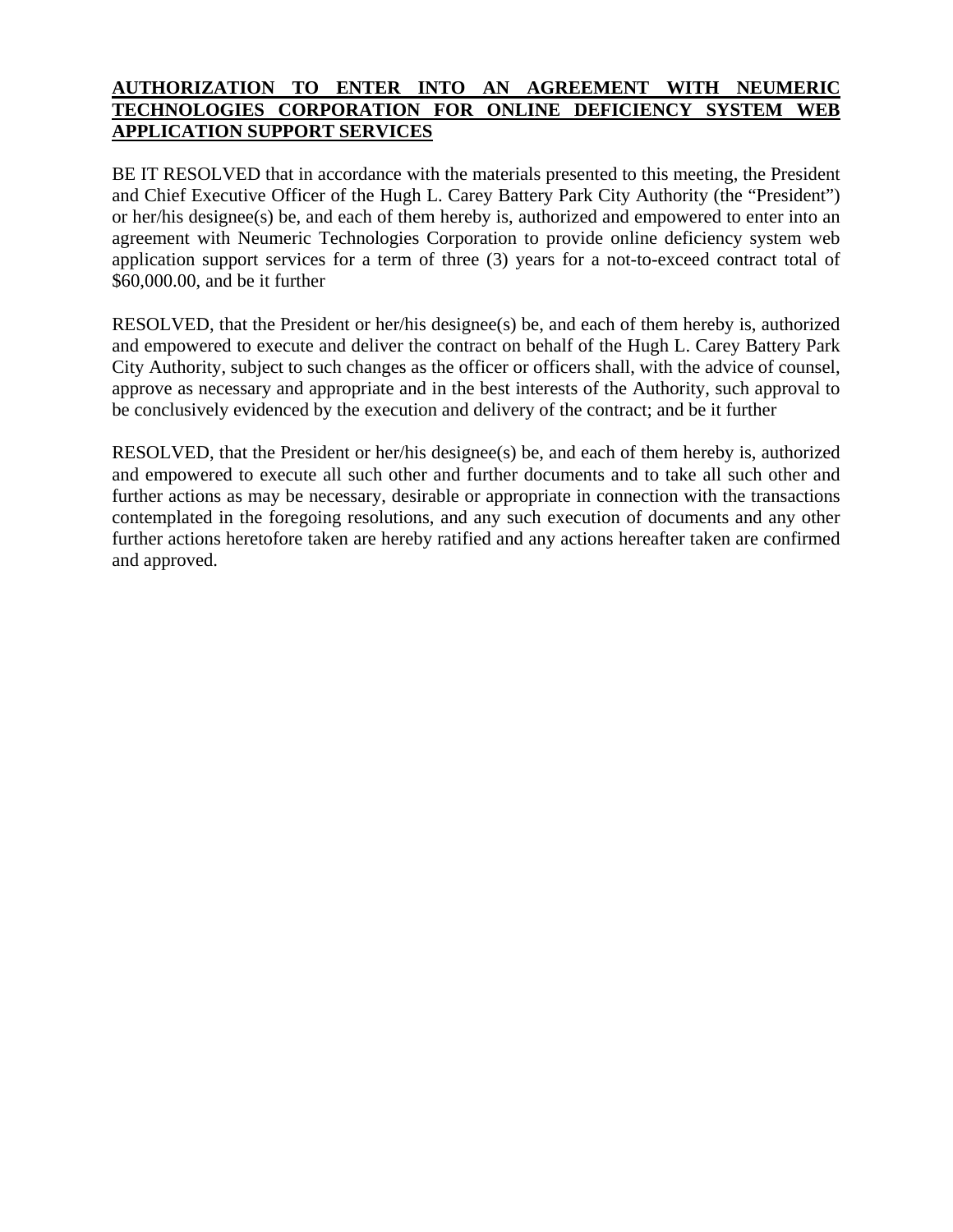## **AUTHORIZATION TO ENTER INTO AN AGREEMENT WITH NEUMERIC TECHNOLOGIES CORPORATION FOR ONLINE DEFICIENCY SYSTEM WEB APPLICATION SUPPORT SERVICES**

BE IT RESOLVED that in accordance with the materials presented to this meeting, the President and Chief Executive Officer of the Hugh L. Carey Battery Park City Authority (the "President") or her/his designee(s) be, and each of them hereby is, authorized and empowered to enter into an agreement with Neumeric Technologies Corporation to provide online deficiency system web application support services for a term of three (3) years for a not-to-exceed contract total of \$60,000.00, and be it further

RESOLVED, that the President or her/his designee(s) be, and each of them hereby is, authorized and empowered to execute and deliver the contract on behalf of the Hugh L. Carey Battery Park City Authority, subject to such changes as the officer or officers shall, with the advice of counsel, approve as necessary and appropriate and in the best interests of the Authority, such approval to be conclusively evidenced by the execution and delivery of the contract; and be it further

RESOLVED, that the President or her/his designee(s) be, and each of them hereby is, authorized and empowered to execute all such other and further documents and to take all such other and further actions as may be necessary, desirable or appropriate in connection with the transactions contemplated in the foregoing resolutions, and any such execution of documents and any other further actions heretofore taken are hereby ratified and any actions hereafter taken are confirmed and approved.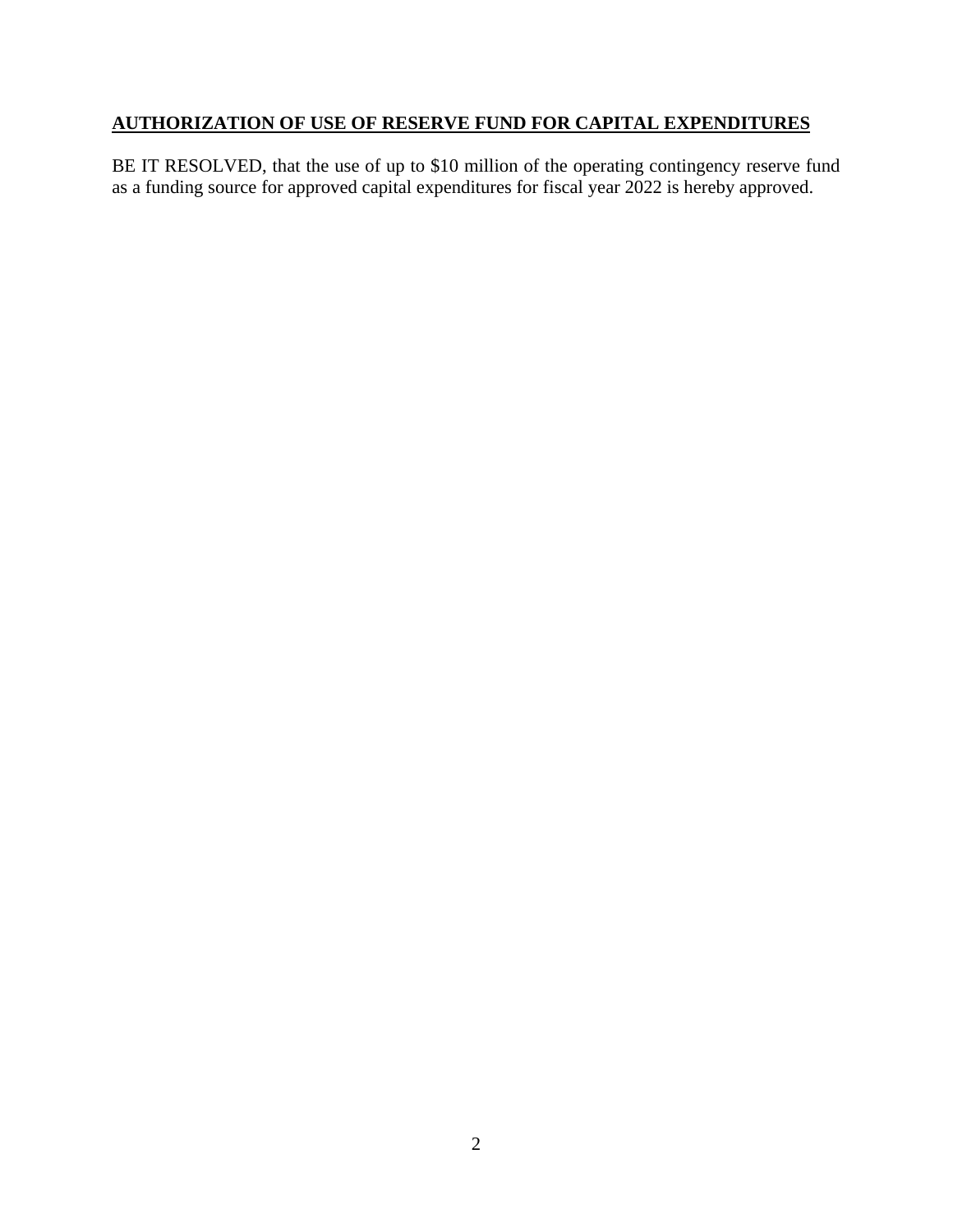# **AUTHORIZATION OF USE OF RESERVE FUND FOR CAPITAL EXPENDITURES**

BE IT RESOLVED, that the use of up to \$10 million of the operating contingency reserve fund as a funding source for approved capital expenditures for fiscal year 2022 is hereby approved.